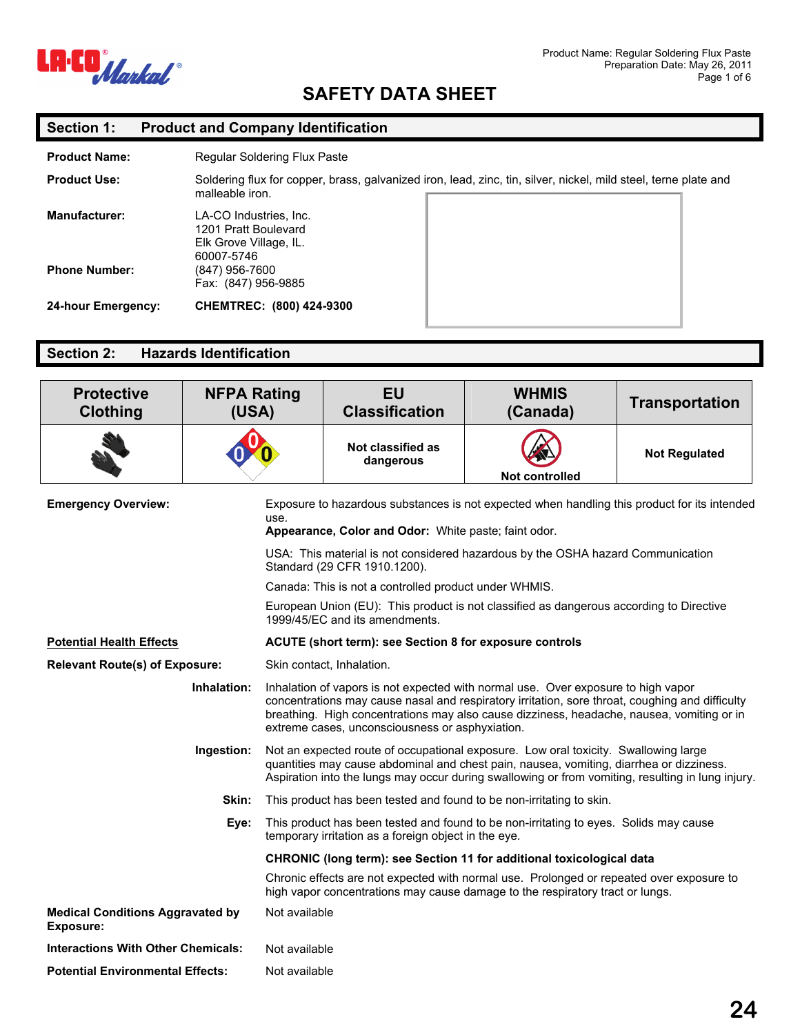

## **Section 1: Product and Company Identification**

| <b>Product Name:</b> | Regular Soldering Flux Paste                                                                                                       |
|----------------------|------------------------------------------------------------------------------------------------------------------------------------|
| <b>Product Use:</b>  | Soldering flux for copper, brass, galvanized iron, lead, zinc, tin, silver, nickel, mild steel, terne plate and<br>malleable iron. |
| Manufacturer:        | LA-CO Industries, Inc.<br>1201 Pratt Boulevard<br>Elk Grove Village, IL.<br>60007-5746                                             |
| <b>Phone Number:</b> | (847) 956-7600<br>Fax: (847) 956-9885                                                                                              |
| 24-hour Emergency:   | CHEMTREC: (800) 424-9300                                                                                                           |

## **Section 2: Hazards Identification**

| <b>Protective</b><br><b>Clothing</b>                        | <b>NFPA Rating</b><br>(USA) |               | <b>EU</b><br><b>Classification</b>                      | <b>WHMIS</b><br>(Canada)                                                                                                                                                                                                                                                            | <b>Transportation</b> |
|-------------------------------------------------------------|-----------------------------|---------------|---------------------------------------------------------|-------------------------------------------------------------------------------------------------------------------------------------------------------------------------------------------------------------------------------------------------------------------------------------|-----------------------|
|                                                             |                             |               | Not classified as<br>dangerous                          | Not controlled                                                                                                                                                                                                                                                                      | <b>Not Regulated</b>  |
| <b>Emergency Overview:</b>                                  |                             | use.          | Appearance, Color and Odor: White paste; faint odor.    | Exposure to hazardous substances is not expected when handling this product for its intended                                                                                                                                                                                        |                       |
|                                                             |                             |               | Standard (29 CFR 1910.1200).                            | USA: This material is not considered hazardous by the OSHA hazard Communication                                                                                                                                                                                                     |                       |
|                                                             |                             |               | Canada: This is not a controlled product under WHMIS.   |                                                                                                                                                                                                                                                                                     |                       |
|                                                             |                             |               | 1999/45/EC and its amendments.                          | European Union (EU): This product is not classified as dangerous according to Directive                                                                                                                                                                                             |                       |
| <b>Potential Health Effects</b>                             |                             |               | ACUTE (short term): see Section 8 for exposure controls |                                                                                                                                                                                                                                                                                     |                       |
| <b>Relevant Route(s) of Exposure:</b>                       |                             |               | Skin contact, Inhalation.                               |                                                                                                                                                                                                                                                                                     |                       |
|                                                             | Inhalation:                 |               | extreme cases, unconsciousness or asphyxiation.         | Inhalation of vapors is not expected with normal use. Over exposure to high vapor<br>concentrations may cause nasal and respiratory irritation, sore throat, coughing and difficulty<br>breathing. High concentrations may also cause dizziness, headache, nausea, vomiting or in   |                       |
|                                                             | Ingestion:                  |               |                                                         | Not an expected route of occupational exposure. Low oral toxicity. Swallowing large<br>quantities may cause abdominal and chest pain, nausea, vomiting, diarrhea or dizziness.<br>Aspiration into the lungs may occur during swallowing or from vomiting, resulting in lung injury. |                       |
|                                                             | Skin:                       |               |                                                         | This product has been tested and found to be non-irritating to skin.                                                                                                                                                                                                                |                       |
|                                                             | Eye:                        |               | temporary irritation as a foreign object in the eye.    | This product has been tested and found to be non-irritating to eyes. Solids may cause                                                                                                                                                                                               |                       |
|                                                             |                             |               |                                                         | CHRONIC (long term): see Section 11 for additional toxicological data                                                                                                                                                                                                               |                       |
|                                                             |                             |               |                                                         | Chronic effects are not expected with normal use. Prolonged or repeated over exposure to<br>high vapor concentrations may cause damage to the respiratory tract or lungs.                                                                                                           |                       |
| <b>Medical Conditions Aggravated by</b><br><b>Exposure:</b> |                             | Not available |                                                         |                                                                                                                                                                                                                                                                                     |                       |
| <b>Interactions With Other Chemicals:</b>                   |                             | Not available |                                                         |                                                                                                                                                                                                                                                                                     |                       |
| <b>Potential Environmental Effects:</b><br>Not available    |                             |               |                                                         |                                                                                                                                                                                                                                                                                     |                       |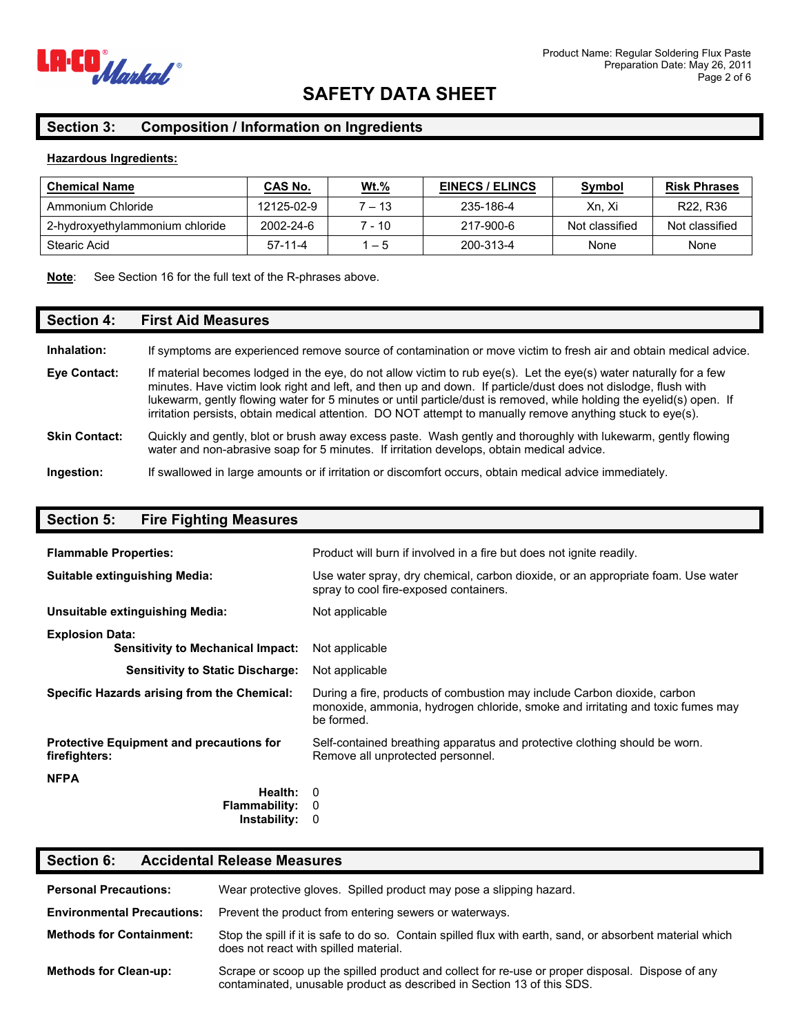

### **Section 3: Composition / Information on Ingredients**

#### **Hazardous Ingredients:**

| <b>Chemical Name</b>            | CAS No.    | <u>Wt.%</u> | <b>EINECS / ELINCS</b> | Symbol         | <b>Risk Phrases</b>               |
|---------------------------------|------------|-------------|------------------------|----------------|-----------------------------------|
| Ammonium Chloride               | 12125-02-9 | 7 – 13      | 235-186-4              | Xn. Xi         | R <sub>22</sub> , R <sub>36</sub> |
| 2-hydroxyethylammonium chloride | 2002-24-6  | 7 - 10      | 217-900-6              | Not classified | Not classified                    |
| Stearic Acid                    | $57-11-4$  | $1 - 5$     | 200-313-4              | None           | None                              |

#### **Note**: See Section 16 for the full text of the R-phrases above.

#### **Section 4: First Aid Measures**

| If symptoms are experienced remove source of contamination or move victim to fresh air and obtain medical advice.<br>Inhalation: |
|----------------------------------------------------------------------------------------------------------------------------------|
|----------------------------------------------------------------------------------------------------------------------------------|

**Eye Contact:** If material becomes lodged in the eye, do not allow victim to rub eye(s). Let the eye(s) water naturally for a few minutes. Have victim look right and left, and then up and down. If particle/dust does not dislodge, flush with lukewarm, gently flowing water for 5 minutes or until particle/dust is removed, while holding the eyelid(s) open. If irritation persists, obtain medical attention. DO NOT attempt to manually remove anything stuck to eye(s).

#### **Skin Contact:** Quickly and gently, blot or brush away excess paste. Wash gently and thoroughly with lukewarm, gently flowing water and non-abrasive soap for 5 minutes. If irritation develops, obtain medical advice.

**Ingestion:** If swallowed in large amounts or if irritation or discomfort occurs, obtain medical advice immediately.

### **Section 5: Fire Fighting Measures**

| <b>Flammable Properties:</b>                                       | Product will burn if involved in a fire but does not ignite readily.                                                                                                     |
|--------------------------------------------------------------------|--------------------------------------------------------------------------------------------------------------------------------------------------------------------------|
| Suitable extinguishing Media:                                      | Use water spray, dry chemical, carbon dioxide, or an appropriate foam. Use water<br>spray to cool fire-exposed containers.                                               |
| Unsuitable extinguishing Media:                                    | Not applicable                                                                                                                                                           |
| <b>Explosion Data:</b><br><b>Sensitivity to Mechanical Impact:</b> | Not applicable                                                                                                                                                           |
| <b>Sensitivity to Static Discharge:</b>                            | Not applicable                                                                                                                                                           |
| Specific Hazards arising from the Chemical:                        | During a fire, products of combustion may include Carbon dioxide, carbon<br>monoxide, ammonia, hydrogen chloride, smoke and irritating and toxic fumes may<br>be formed. |
| Protective Equipment and precautions for<br>firefighters:          | Self-contained breathing apparatus and protective clothing should be worn.<br>Remove all unprotected personnel.                                                          |
| <b>NFPA</b>                                                        |                                                                                                                                                                          |
| Health: $0$                                                        |                                                                                                                                                                          |
| <b>Flammability:</b>                                               | - 0                                                                                                                                                                      |
| Instability:                                                       | - 0                                                                                                                                                                      |

## **Section 6: Accidental Release Measures**

| <b>Personal Precautions:</b>      | Wear protective gloves. Spilled product may pose a slipping hazard.                                                                                                        |
|-----------------------------------|----------------------------------------------------------------------------------------------------------------------------------------------------------------------------|
| <b>Environmental Precautions:</b> | Prevent the product from entering sewers or waterways.                                                                                                                     |
| <b>Methods for Containment:</b>   | Stop the spill if it is safe to do so. Contain spilled flux with earth, sand, or absorbent material which<br>does not react with spilled material.                         |
| <b>Methods for Clean-up:</b>      | Scrape or scoop up the spilled product and collect for re-use or proper disposal. Dispose of any<br>contaminated, unusable product as described in Section 13 of this SDS. |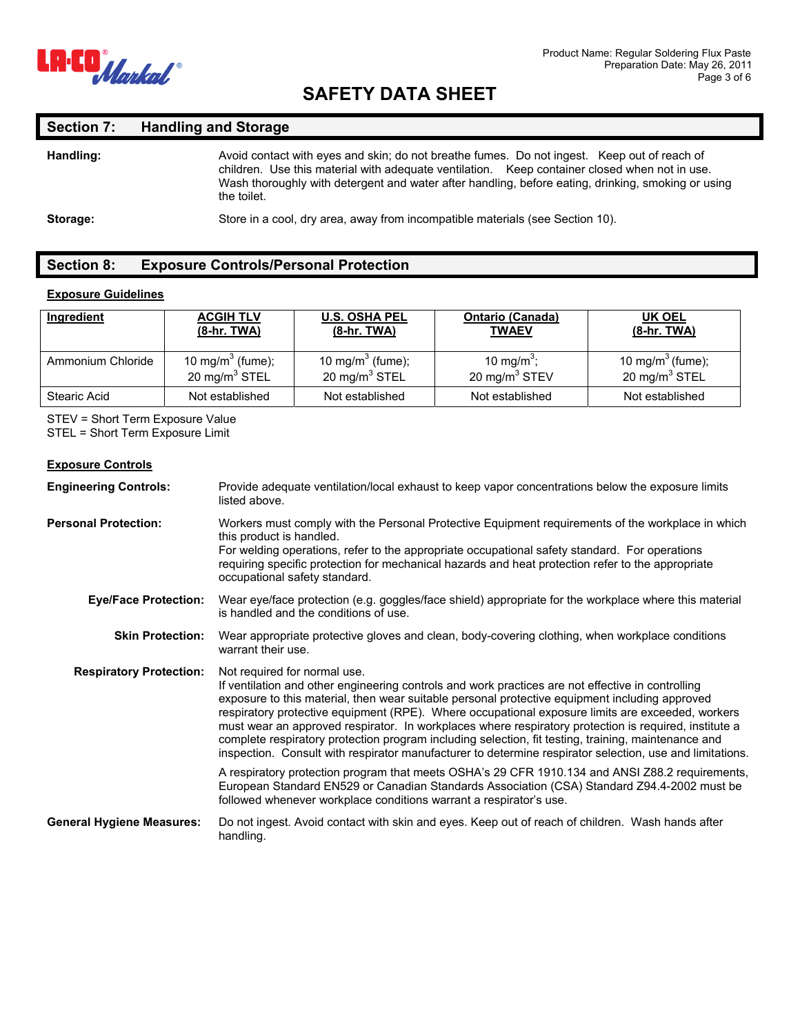

# **Section 7: Handling and Storage**

| Handling: | Avoid contact with eyes and skin; do not breathe fumes. Do not ingest. Keep out of reach of<br>children. Use this material with adequate ventilation. Keep container closed when not in use.<br>Wash thoroughly with detergent and water after handling, before eating, drinking, smoking or using<br>the toilet. |
|-----------|-------------------------------------------------------------------------------------------------------------------------------------------------------------------------------------------------------------------------------------------------------------------------------------------------------------------|
| Storage:  | Store in a cool, dry area, away from incompatible materials (see Section 10).                                                                                                                                                                                                                                     |

## **Section 8: Exposure Controls/Personal Protection**

### **Exposure Guidelines**

| Ingredient        | <b>ACGIH TLV</b>             | <b>U.S. OSHA PEL</b>         | <b>Ontario (Canada)</b> | UK OEL                       |
|-------------------|------------------------------|------------------------------|-------------------------|------------------------------|
|                   | (8-hr. TWA)                  | (8-hr. TWA)                  | <b>TWAEV</b>            | (8-hr. TWA)                  |
| Ammonium Chloride | 10 mg/m <sup>3</sup> (fume); | 10 mg/m <sup>3</sup> (fume); | 10 mg/m <sup>3</sup> ;  | 10 mg/m <sup>3</sup> (fume); |
|                   | 20 mg/m $3$ STEL             | 20 mg/m $3$ STEL             | 20 mg/m $3$ STEV        | 20 mg/m $3$ STEL             |
| Stearic Acid      | Not established              | Not established              | Not established         | Not established              |

STEV = Short Term Exposure Value STEL = Short Term Exposure Limit

#### **Exposure Controls**

| <b>Engineering Controls:</b>     | Provide adequate ventilation/local exhaust to keep vapor concentrations below the exposure limits<br>listed above.                                                                                                                                                                                                                                                                                                                                                                                                                                                                                                                                                                                                                                                     |
|----------------------------------|------------------------------------------------------------------------------------------------------------------------------------------------------------------------------------------------------------------------------------------------------------------------------------------------------------------------------------------------------------------------------------------------------------------------------------------------------------------------------------------------------------------------------------------------------------------------------------------------------------------------------------------------------------------------------------------------------------------------------------------------------------------------|
| <b>Personal Protection:</b>      | Workers must comply with the Personal Protective Equipment requirements of the workplace in which<br>this product is handled.<br>For welding operations, refer to the appropriate occupational safety standard. For operations<br>requiring specific protection for mechanical hazards and heat protection refer to the appropriate<br>occupational safety standard.                                                                                                                                                                                                                                                                                                                                                                                                   |
| <b>Eye/Face Protection:</b>      | Wear eye/face protection (e.g. goggles/face shield) appropriate for the workplace where this material<br>is handled and the conditions of use.                                                                                                                                                                                                                                                                                                                                                                                                                                                                                                                                                                                                                         |
| <b>Skin Protection:</b>          | Wear appropriate protective gloves and clean, body-covering clothing, when workplace conditions<br>warrant their use.                                                                                                                                                                                                                                                                                                                                                                                                                                                                                                                                                                                                                                                  |
| <b>Respiratory Protection:</b>   | Not required for normal use.<br>If ventilation and other engineering controls and work practices are not effective in controlling<br>exposure to this material, then wear suitable personal protective equipment including approved<br>respiratory protective equipment (RPE). Where occupational exposure limits are exceeded, workers<br>must wear an approved respirator. In workplaces where respiratory protection is required, institute a<br>complete respiratory protection program including selection, fit testing, training, maintenance and<br>inspection. Consult with respirator manufacturer to determine respirator selection, use and limitations.<br>A respiratory protection program that meets OSHA's 29 CFR 1910.134 and ANSI Z88.2 requirements, |
|                                  | European Standard EN529 or Canadian Standards Association (CSA) Standard Z94.4-2002 must be<br>followed whenever workplace conditions warrant a respirator's use.                                                                                                                                                                                                                                                                                                                                                                                                                                                                                                                                                                                                      |
| <b>General Hygiene Measures:</b> | Do not ingest. Avoid contact with skin and eyes. Keep out of reach of children. Wash hands after<br>handling.                                                                                                                                                                                                                                                                                                                                                                                                                                                                                                                                                                                                                                                          |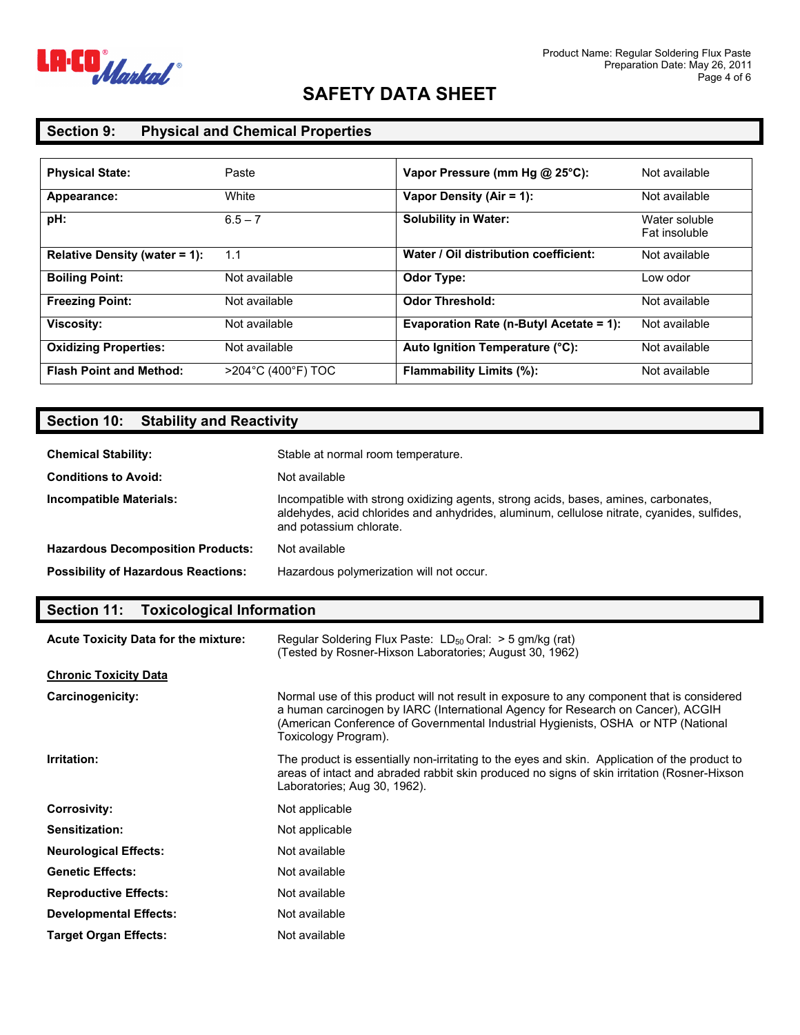

## **Section 9: Physical and Chemical Properties**

| <b>Physical State:</b>         | Paste              | Vapor Pressure (mm Hg @ 25°C):          | Not available                  |
|--------------------------------|--------------------|-----------------------------------------|--------------------------------|
| Appearance:                    | White              | Vapor Density (Air = 1):                | Not available                  |
| pH:                            | $6.5 - 7$          | <b>Solubility in Water:</b>             | Water soluble<br>Fat insoluble |
| Relative Density (water = 1):  | 1.1                | Water / Oil distribution coefficient:   | Not available                  |
| <b>Boiling Point:</b>          | Not available      | <b>Odor Type:</b>                       | Low odor                       |
| <b>Freezing Point:</b>         | Not available      | <b>Odor Threshold:</b>                  | Not available                  |
| <b>Viscosity:</b>              | Not available      | Evaporation Rate (n-Butyl Acetate = 1): | Not available                  |
| <b>Oxidizing Properties:</b>   | Not available      | Auto Ignition Temperature (°C):         | Not available                  |
| <b>Flash Point and Method:</b> | >204°C (400°F) TOC | <b>Flammability Limits (%):</b>         | Not available                  |

# **Section 10: Stability and Reactivity**

| <b>Chemical Stability:</b>                 | Stable at normal room temperature.                                                                                                                                                                           |
|--------------------------------------------|--------------------------------------------------------------------------------------------------------------------------------------------------------------------------------------------------------------|
| <b>Conditions to Avoid:</b>                | Not available                                                                                                                                                                                                |
| <b>Incompatible Materials:</b>             | Incompatible with strong oxidizing agents, strong acids, bases, amines, carbonates,<br>aldehydes, acid chlorides and anhydrides, aluminum, cellulose nitrate, cyanides, sulfides,<br>and potassium chlorate. |
| <b>Hazardous Decomposition Products:</b>   | Not available                                                                                                                                                                                                |
| <b>Possibility of Hazardous Reactions:</b> | Hazardous polymerization will not occur.                                                                                                                                                                     |

## **Section 11: Toxicological Information**

| <b>Acute Toxicity Data for the mixture:</b> | Regular Soldering Flux Paste: $LD_{50}$ Oral: $>$ 5 gm/kg (rat)<br>(Tested by Rosner-Hixson Laboratories: August 30, 1962)                                                                                                                                                                 |
|---------------------------------------------|--------------------------------------------------------------------------------------------------------------------------------------------------------------------------------------------------------------------------------------------------------------------------------------------|
| <b>Chronic Toxicity Data</b>                |                                                                                                                                                                                                                                                                                            |
| Carcinogenicity:                            | Normal use of this product will not result in exposure to any component that is considered<br>a human carcinogen by IARC (International Agency for Research on Cancer), ACGIH<br>(American Conference of Governmental Industrial Hygienists, OSHA or NTP (National<br>Toxicology Program). |
| Irritation:                                 | The product is essentially non-irritating to the eyes and skin. Application of the product to<br>areas of intact and abraded rabbit skin produced no signs of skin irritation (Rosner-Hixson<br>Laboratories; Aug 30, 1962).                                                               |
| <b>Corrosivity:</b>                         | Not applicable                                                                                                                                                                                                                                                                             |
| <b>Sensitization:</b>                       | Not applicable                                                                                                                                                                                                                                                                             |
| <b>Neurological Effects:</b>                | Not available                                                                                                                                                                                                                                                                              |
| <b>Genetic Effects:</b>                     | Not available                                                                                                                                                                                                                                                                              |
| <b>Reproductive Effects:</b>                | Not available                                                                                                                                                                                                                                                                              |
| <b>Developmental Effects:</b>               | Not available                                                                                                                                                                                                                                                                              |
| <b>Target Organ Effects:</b>                | Not available                                                                                                                                                                                                                                                                              |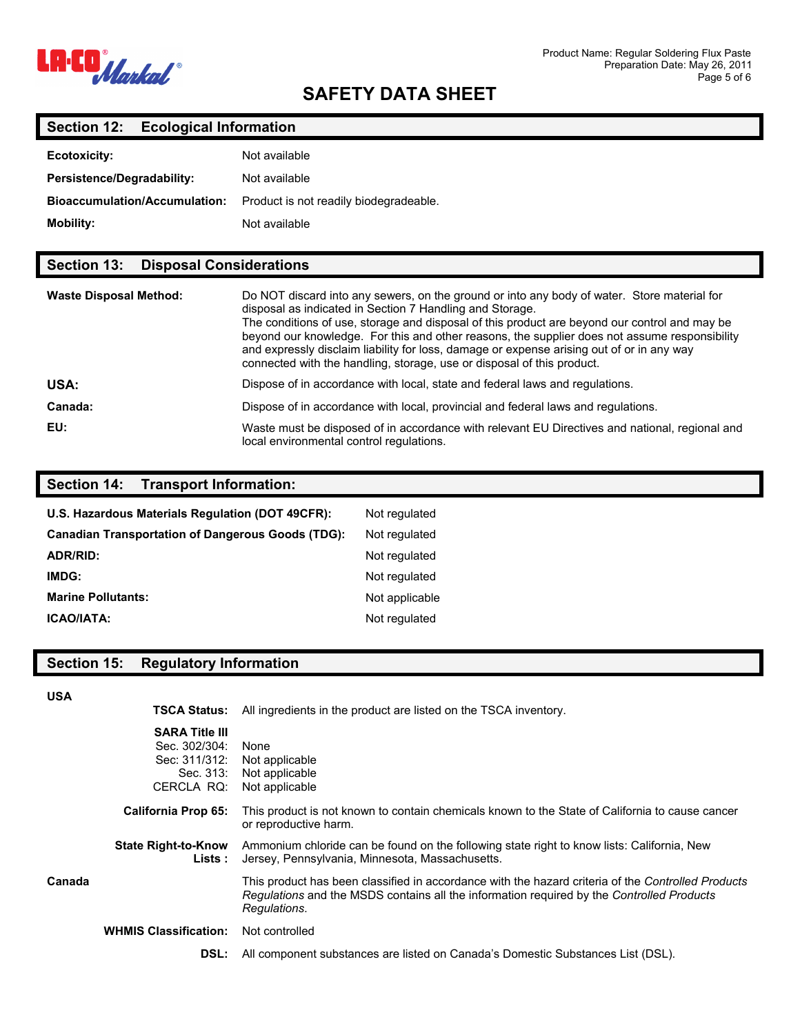

## **Section 12: Ecological Information**

| Ecotoxicity:                         | Not available                          |
|--------------------------------------|----------------------------------------|
| Persistence/Degradability:           | Not available                          |
| <b>Bioaccumulation/Accumulation:</b> | Product is not readily biodegradeable. |
| <b>Mobility:</b>                     | Not available                          |

## **Section 13: Disposal Considerations**

| <b>Waste Disposal Method:</b> | Do NOT discard into any sewers, on the ground or into any body of water. Store material for<br>disposal as indicated in Section 7 Handling and Storage.<br>The conditions of use, storage and disposal of this product are beyond our control and may be<br>beyond our knowledge. For this and other reasons, the supplier does not assume responsibility<br>and expressly disclaim liability for loss, damage or expense arising out of or in any way<br>connected with the handling, storage, use or disposal of this product. |
|-------------------------------|----------------------------------------------------------------------------------------------------------------------------------------------------------------------------------------------------------------------------------------------------------------------------------------------------------------------------------------------------------------------------------------------------------------------------------------------------------------------------------------------------------------------------------|
| USA:                          | Dispose of in accordance with local, state and federal laws and regulations.                                                                                                                                                                                                                                                                                                                                                                                                                                                     |
| Canada:                       | Dispose of in accordance with local, provincial and federal laws and regulations.                                                                                                                                                                                                                                                                                                                                                                                                                                                |
| EU:                           | Waste must be disposed of in accordance with relevant EU Directives and national, regional and<br>local environmental control regulations.                                                                                                                                                                                                                                                                                                                                                                                       |

### **Section 14: Transport Information:**

| U.S. Hazardous Materials Regulation (DOT 49CFR):         | Not regulated  |
|----------------------------------------------------------|----------------|
| <b>Canadian Transportation of Dangerous Goods (TDG):</b> | Not regulated  |
| ADR/RID:                                                 | Not regulated  |
| IMDG:                                                    | Not regulated  |
| <b>Marine Pollutants:</b>                                | Not applicable |
| <b>ICAO/IATA:</b>                                        | Not regulated  |

## **Section 15: Regulatory Information**

#### **USA**

**TSCA Status:** All ingredients in the product are listed on the TSCA inventory.

|        | <b>SARA Title III</b><br>Sec. 302/304:<br>Sec: 311/312:<br>Sec. 313:<br>CERCLA RQ: | None<br>Not applicable<br>Not applicable<br>Not applicable                                                                                                                                                      |
|--------|------------------------------------------------------------------------------------|-----------------------------------------------------------------------------------------------------------------------------------------------------------------------------------------------------------------|
|        | <b>California Prop 65:</b>                                                         | This product is not known to contain chemicals known to the State of California to cause cancer<br>or reproductive harm.                                                                                        |
|        | <b>State Right-to-Know</b><br>Lists :                                              | Ammonium chloride can be found on the following state right to know lists: California, New<br>Jersey, Pennsylvania, Minnesota, Massachusetts.                                                                   |
| Canada |                                                                                    | This product has been classified in accordance with the hazard criteria of the Controlled Products<br>Regulations and the MSDS contains all the information required by the Controlled Products<br>Regulations. |
|        | <b>WHMIS Classification:</b>                                                       | Not controlled                                                                                                                                                                                                  |
|        | DSL:                                                                               | All component substances are listed on Canada's Domestic Substances List (DSL).                                                                                                                                 |